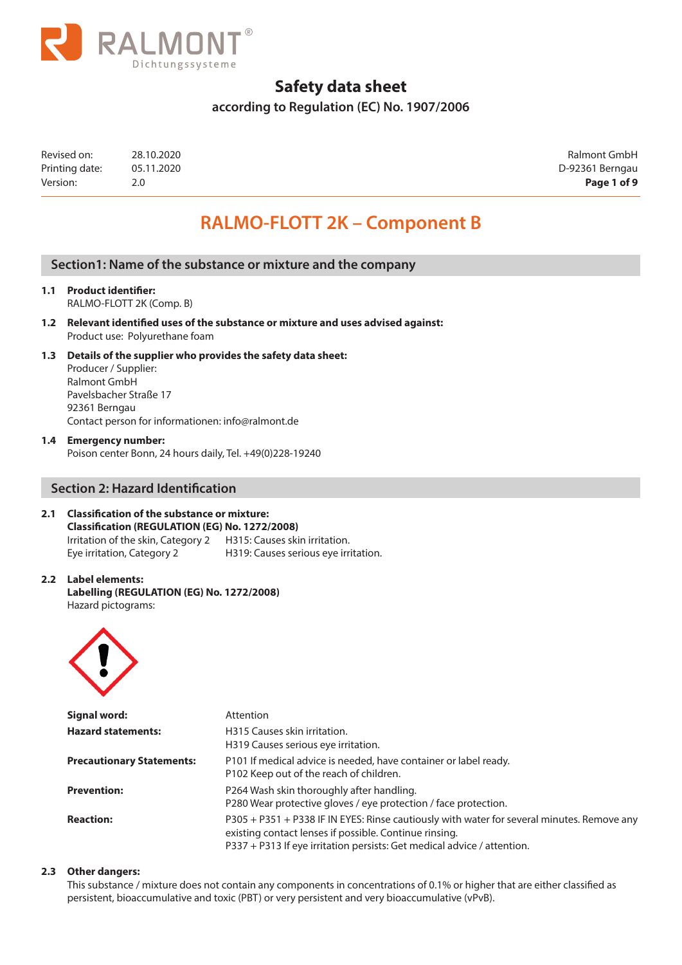

**according to Regulation (EC) No. 1907/2006**

| Revised on:    | 28.10.2020 | Ralmont GmbH    |
|----------------|------------|-----------------|
| Printing date: | 05.11.2020 | D-92361 Berngau |
| Version:       |            | Page 1 of 9     |

Ralmont GmbH D-92361 Berngau

# **RALMO-FLOTT 2K – Component B**

### **Section1: Name of the substance or mixture and the company**

- **1.1 Product identifier:** RALMO-FLOTT 2K (Comp. B)
- **1.2 Relevant identified uses of the substance or mixture and uses advised against:** Product use: Polyurethane foam
- **1.3 Details of the supplier who provides the safety data sheet:** Producer / Supplier: Ralmont GmbH Pavelsbacher Straße 17 92361 Berngau

Contact person for informationen: info@ralmont.de

**1.4 Emergency number:**

Poison center Bonn, 24 hours daily, Tel. +49(0)228-19240

### **Section 2: Hazard Identification**

#### **2.1 Classification of the substance or mixture: Classification (REGULATION (EG) No. 1272/2008)**

Irritation of the skin, Category 2 H315: Causes skin irritation. Eye irritation, Category 2 H319: Causes serious eye irritation.

#### **2.2 Label elements: Labelling (REGULATION (EG) No. 1272/2008)** Hazard pictograms:



| Signal word:                     | Attention                                                                                                                                                                                                                       |
|----------------------------------|---------------------------------------------------------------------------------------------------------------------------------------------------------------------------------------------------------------------------------|
| <b>Hazard statements:</b>        | H315 Causes skin irritation.<br>H319 Causes serious eye irritation.                                                                                                                                                             |
| <b>Precautionary Statements:</b> | P101 If medical advice is needed, have container or label ready.<br>P102 Keep out of the reach of children.                                                                                                                     |
| <b>Prevention:</b>               | P264 Wash skin thoroughly after handling.<br>P280 Wear protective gloves / eye protection / face protection.                                                                                                                    |
| <b>Reaction:</b>                 | P305 + P351 + P338 IF IN EYES: Rinse cautiously with water for several minutes. Remove any<br>existing contact lenses if possible. Continue rinsing.<br>P337 + P313 If eye irritation persists: Get medical advice / attention. |

#### **2.3 Other dangers:**

This substance / mixture does not contain any components in concentrations of 0.1% or higher that are either classified as persistent, bioaccumulative and toxic (PBT) or very persistent and very bioaccumulative (vPvB).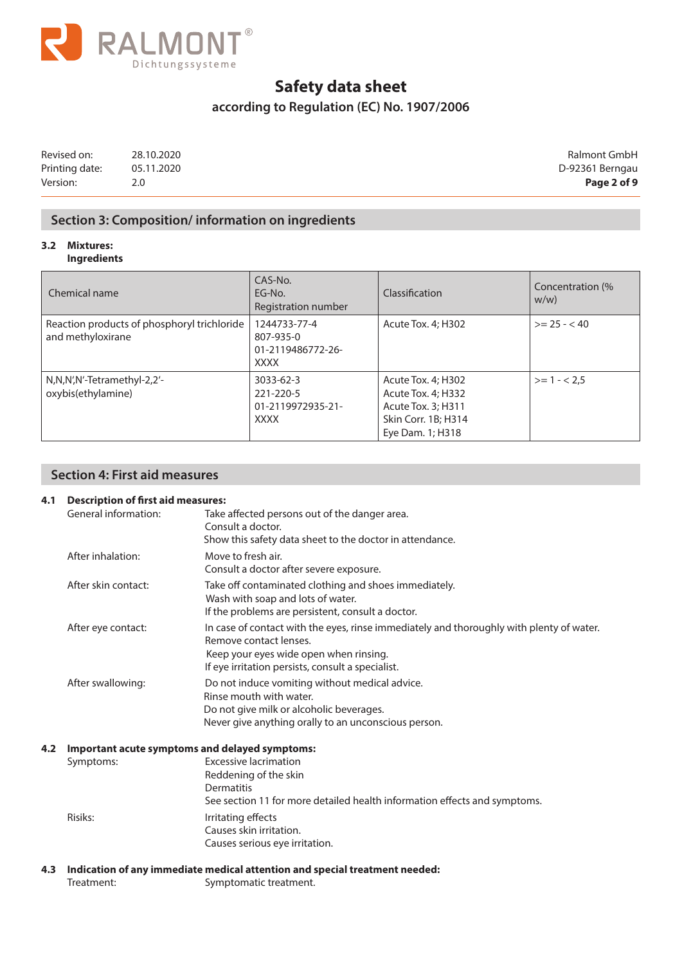

### **according to Regulation (EC) No. 1907/2006**

Revised on: 28.10.2020 Ralmont GmbH Printing date: 05.11.2020 05.11.2020 Version: 2.0 **Page 2 of 9**

### **Section 3: Composition/ information on ingredients**

#### **3.2 Mixtures: Ingredients**

| Chemical name                                                    | CAS-No.<br>EG-No.<br>Registration number                      | Classification                                                                                            | Concentration (%<br>$W/W$ ) |
|------------------------------------------------------------------|---------------------------------------------------------------|-----------------------------------------------------------------------------------------------------------|-----------------------------|
| Reaction products of phosphoryl trichloride<br>and methyloxirane | 1244733-77-4<br>807-935-0<br>01-2119486772-26-<br><b>XXXX</b> | Acute Tox. 4; H302                                                                                        | $>= 25 - < 40$              |
| N,N,N',N'-Tetramethyl-2,2'-<br>oxybis(ethylamine)                | 3033-62-3<br>221-220-5<br>01-2119972935-21-<br><b>XXXX</b>    | Acute Tox. 4; H302<br>Acute Tox. 4; H332<br>Acute Tox. 3; H311<br>Skin Corr. 1B; H314<br>Eye Dam. 1; H318 | $>= 1 - 2.5$                |

### **Section 4: First aid measures**

### **4.1 Description of first aid measures:**

| General information: | Take affected persons out of the danger area.                                                                      |
|----------------------|--------------------------------------------------------------------------------------------------------------------|
|                      | Consult a doctor.                                                                                                  |
|                      | Show this safety data sheet to the doctor in attendance.                                                           |
| After inhalation:    | Move to fresh air.                                                                                                 |
|                      | Consult a doctor after severe exposure.                                                                            |
| After skin contact:  | Take off contaminated clothing and shoes immediately.                                                              |
|                      | Wash with soap and lots of water.                                                                                  |
|                      | If the problems are persistent, consult a doctor.                                                                  |
| After eye contact:   | In case of contact with the eyes, rinse immediately and thoroughly with plenty of water.<br>Remove contact lenses. |
|                      | Keep your eyes wide open when rinsing.                                                                             |
|                      | If eye irritation persists, consult a specialist.                                                                  |
|                      |                                                                                                                    |
|                      | Do not induce vomiting without medical advice.<br>Rinse mouth with water.                                          |
|                      |                                                                                                                    |
|                      | Do not give milk or alcoholic beverages.                                                                           |
|                      | Never give anything orally to an unconscious person.                                                               |
|                      |                                                                                                                    |
|                      | <b>Excessive lacrimation</b>                                                                                       |
|                      | Reddening of the skin                                                                                              |
|                      | Dermatitis                                                                                                         |
|                      | See section 11 for more detailed health information effects and symptoms.                                          |
| Risiks:              | Irritating effects                                                                                                 |
|                      | Causes skin irritation.                                                                                            |
|                      | Causes serious eye irritation.                                                                                     |
|                      | After swallowing:<br>Important acute symptoms and delayed symptoms:<br>Symptoms:                                   |

**4.3 Indication of any immediate medical attention and special treatment needed:** Treatment: Symptomatic treatment.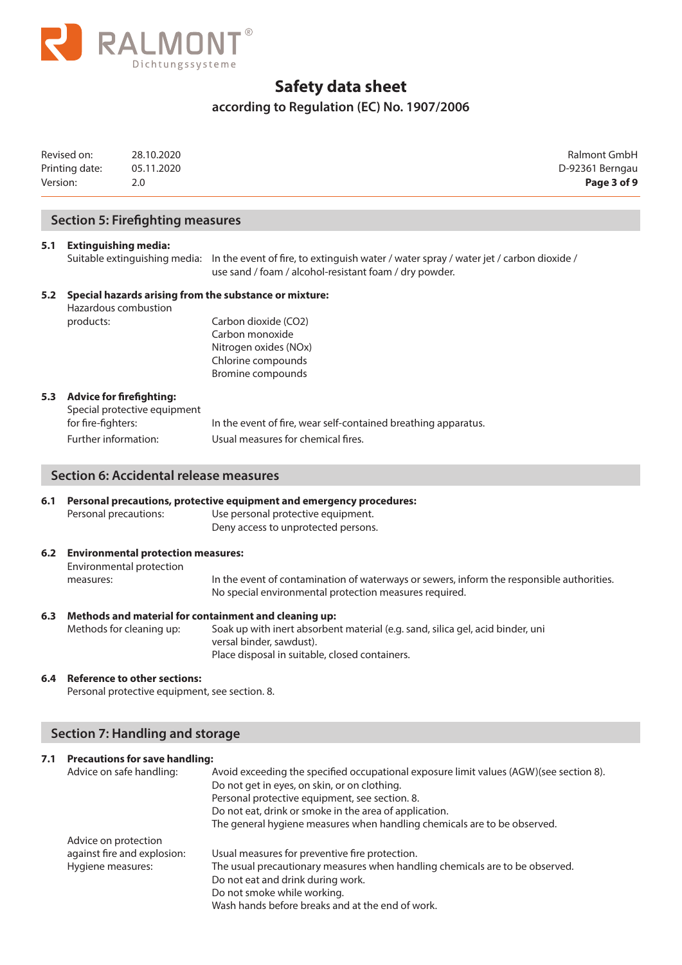

## **according to Regulation (EC) No. 1907/2006**

| Version: | Revised on:<br>Printing date:                      | 28.10.2020<br>05.11.2020<br>2.0                                                       |                                                                                                                                                                                                                                                                                                                                | Ralmont GmbH<br>D-92361 Berngau<br>Page 3 of 9 |
|----------|----------------------------------------------------|---------------------------------------------------------------------------------------|--------------------------------------------------------------------------------------------------------------------------------------------------------------------------------------------------------------------------------------------------------------------------------------------------------------------------------|------------------------------------------------|
|          |                                                    | <b>Section 5: Firefighting measures</b>                                               |                                                                                                                                                                                                                                                                                                                                |                                                |
| 5.1      | <b>Extinguishing media:</b>                        |                                                                                       | Suitable extinguishing media: In the event of fire, to extinguish water / water spray / water jet / carbon dioxide /<br>use sand / foam / alcohol-resistant foam / dry powder.                                                                                                                                                 |                                                |
| 5.2      | Hazardous combustion                               |                                                                                       | Special hazards arising from the substance or mixture:                                                                                                                                                                                                                                                                         |                                                |
|          | products:                                          |                                                                                       | Carbon dioxide (CO2)<br>Carbon monoxide<br>Nitrogen oxides (NOx)<br>Chlorine compounds<br><b>Bromine compounds</b>                                                                                                                                                                                                             |                                                |
|          | 5.3 Advice for firefighting:<br>for fire-fighters: | Special protective equipment                                                          | In the event of fire, wear self-contained breathing apparatus.                                                                                                                                                                                                                                                                 |                                                |
|          | Further information:                               |                                                                                       | Usual measures for chemical fires.                                                                                                                                                                                                                                                                                             |                                                |
|          |                                                    | <b>Section 6: Accidental release measures</b>                                         |                                                                                                                                                                                                                                                                                                                                |                                                |
| 6.1      | Personal precautions:                              |                                                                                       | Personal precautions, protective equipment and emergency procedures:<br>Use personal protective equipment.<br>Deny access to unprotected persons.                                                                                                                                                                              |                                                |
|          | measures:                                          | 6.2 Environmental protection measures:<br>Environmental protection                    | In the event of contamination of waterways or sewers, inform the responsible authorities.<br>No special environmental protection measures required.                                                                                                                                                                            |                                                |
| 6.3      | Methods for cleaning up:                           |                                                                                       | Methods and material for containment and cleaning up:<br>Soak up with inert absorbent material (e.g. sand, silica gel, acid binder, uni<br>versal binder, sawdust).<br>Place disposal in suitable, closed containers.                                                                                                          |                                                |
| 6.4      |                                                    | <b>Reference to other sections:</b><br>Personal protective equipment, see section. 8. |                                                                                                                                                                                                                                                                                                                                |                                                |
|          |                                                    | <b>Section 7: Handling and storage</b>                                                |                                                                                                                                                                                                                                                                                                                                |                                                |
| 7.1      | Advice on safe handling:                           | <b>Precautions for save handling:</b>                                                 | Avoid exceeding the specified occupational exposure limit values (AGW)(see section 8).<br>Do not get in eyes, on skin, or on clothing.<br>Personal protective equipment, see section. 8.<br>Do not eat, drink or smoke in the area of application.<br>The general hygiene measures when handling chemicals are to be observed. |                                                |
|          | Advice on protection                               |                                                                                       |                                                                                                                                                                                                                                                                                                                                |                                                |

| against fire and explosion: | Usual measures for preventive fire protection.                               |
|-----------------------------|------------------------------------------------------------------------------|
| Hygiene measures:           | The usual precautionary measures when handling chemicals are to be observed. |
|                             | Do not eat and drink during work.                                            |
|                             | Do not smoke while working.                                                  |
|                             | Wash hands before breaks and at the end of work.                             |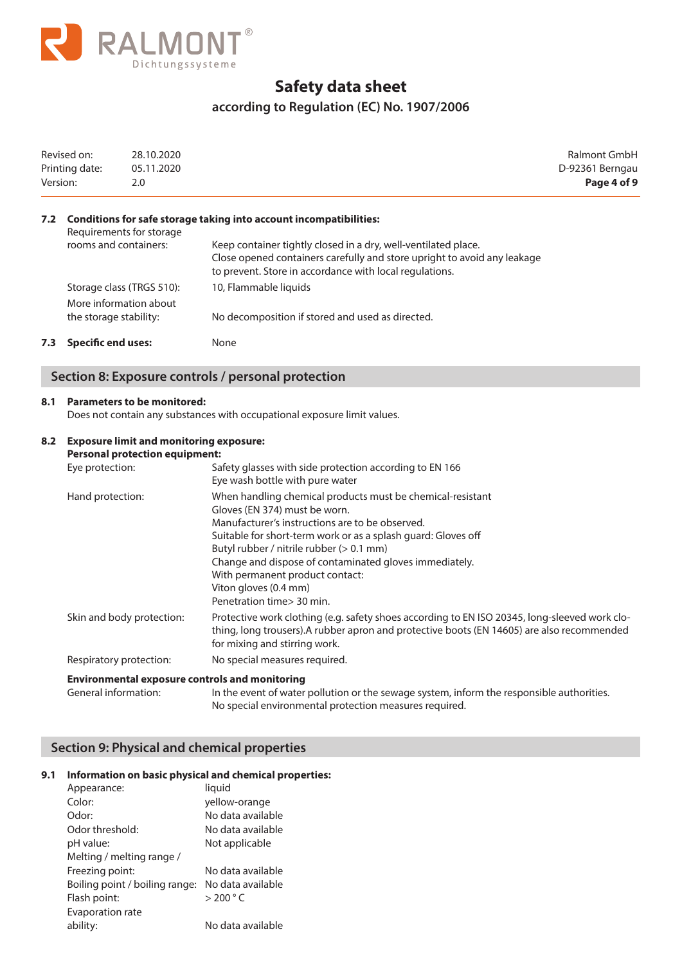

### **according to Regulation (EC) No. 1907/2006**

| Version: | Revised on:<br>Printing date:                     | 28.10.2020<br>05.11.2020<br>2.0                |                                                                                                                                                                                                                                                                             | Ralmont GmbH<br>D-92361 Berngau<br>Page 4 of 9 |
|----------|---------------------------------------------------|------------------------------------------------|-----------------------------------------------------------------------------------------------------------------------------------------------------------------------------------------------------------------------------------------------------------------------------|------------------------------------------------|
| 7.2      | Requirements for storage<br>rooms and containers: |                                                | Conditions for safe storage taking into account incompatibilities:<br>Keep container tightly closed in a dry, well-ventilated place.<br>Close opened containers carefully and store upright to avoid any leakage<br>to prevent. Store in accordance with local regulations. |                                                |
|          | Storage class (TRGS 510):                         |                                                | 10, Flammable liquids                                                                                                                                                                                                                                                       |                                                |
|          | More information about<br>the storage stability:  |                                                | No decomposition if stored and used as directed.                                                                                                                                                                                                                            |                                                |
| 7.3      | <b>Specific end uses:</b>                         |                                                | None                                                                                                                                                                                                                                                                        |                                                |
|          |                                                   |                                                | Section 8: Exposure controls / personal protection                                                                                                                                                                                                                          |                                                |
| 8.1      |                                                   | <b>Parameters to be monitored:</b>             | Does not contain any substances with occupational exposure limit values.                                                                                                                                                                                                    |                                                |
| 8.2      |                                                   | <b>Exposure limit and monitoring exposure:</b> |                                                                                                                                                                                                                                                                             |                                                |

| <b>Personal protection equipment:</b> |                                                                                                                                                                                                                                                                                                                                                                                                                 |
|---------------------------------------|-----------------------------------------------------------------------------------------------------------------------------------------------------------------------------------------------------------------------------------------------------------------------------------------------------------------------------------------------------------------------------------------------------------------|
| Eye protection:                       | Safety glasses with side protection according to EN 166<br>Eye wash bottle with pure water                                                                                                                                                                                                                                                                                                                      |
| Hand protection:                      | When handling chemical products must be chemical-resistant<br>Gloves (EN 374) must be worn.<br>Manufacturer's instructions are to be observed.<br>Suitable for short-term work or as a splash guard: Gloves off<br>Butyl rubber / nitrile rubber (> 0.1 mm)<br>Change and dispose of contaminated gloves immediately.<br>With permanent product contact:<br>Viton gloves (0.4 mm)<br>Penetration time > 30 min. |
| Skin and body protection:             | Protective work clothing (e.g. safety shoes according to EN ISO 20345, long-sleeved work clo-<br>thing, long trousers). A rubber apron and protective boots (EN 14605) are also recommended<br>for mixing and stirring work.                                                                                                                                                                                    |
| Respiratory protection:               | No special measures required.                                                                                                                                                                                                                                                                                                                                                                                   |

General information: In the event of water pollution or the sewage system, inform the responsible authorities. No special environmental protection measures required.

### **Section 9: Physical and chemical properties**

#### **9.1 Information on basic physical and chemical properties:**

| Appearance:                    | liquid               |
|--------------------------------|----------------------|
| Color:                         | yellow-orange        |
| Odor:                          | No data available    |
| Odor threshold:                | No data available    |
| pH value:                      | Not applicable       |
| Melting / melting range /      |                      |
| Freezing point:                | No data available    |
| Boiling point / boiling range: | No data available    |
| Flash point:                   | $>$ 200 $^{\circ}$ C |
| Evaporation rate               |                      |
| ability:                       | No data available    |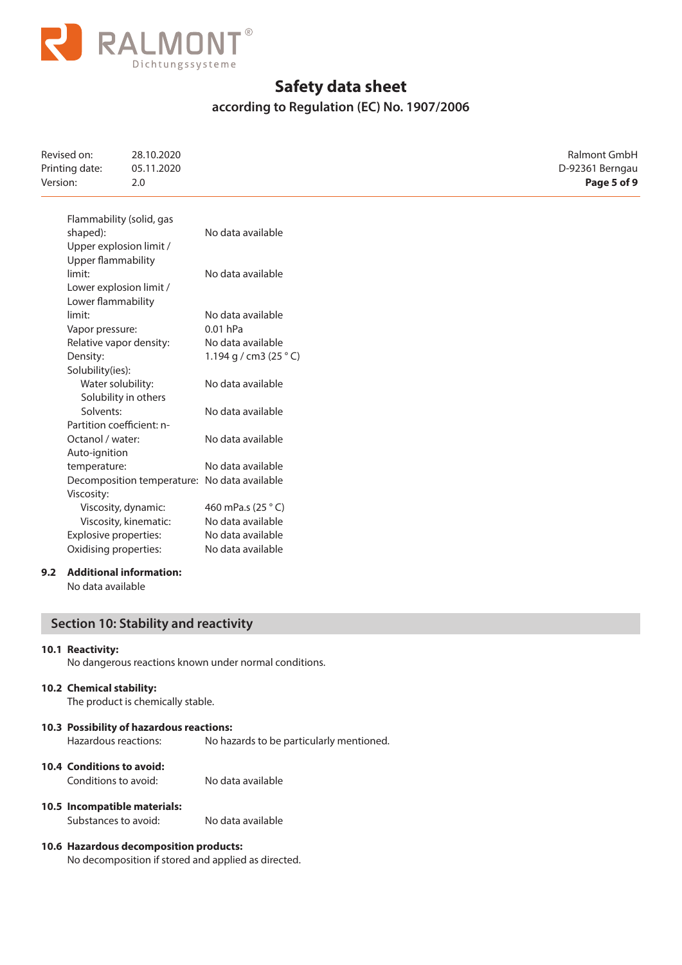

### **according to Regulation (EC) No. 1907/2006**

| Revised on:<br>Printing date:<br>Version: | 28.10.2020<br>05.11.2020<br>2.0              |                                 | Ralmont GmbH<br>D-92361 Berngau<br>Page 5 of 9 |
|-------------------------------------------|----------------------------------------------|---------------------------------|------------------------------------------------|
|                                           | Flammability (solid, gas                     |                                 |                                                |
| shaped):                                  |                                              | No data available               |                                                |
|                                           | Upper explosion limit /                      |                                 |                                                |
| <b>Upper flammability</b>                 |                                              |                                 |                                                |
| limit:                                    |                                              | No data available               |                                                |
|                                           | Lower explosion limit /                      |                                 |                                                |
| Lower flammability                        |                                              |                                 |                                                |
| limit:                                    |                                              | No data available               |                                                |
| Vapor pressure:                           |                                              | $0.01$ hPa                      |                                                |
| Relative vapor density:                   |                                              | No data available               |                                                |
| Density:                                  |                                              | 1.194 g / cm3 (25 $^{\circ}$ C) |                                                |
| Solubility(ies):                          |                                              |                                 |                                                |
|                                           | Water solubility:                            | No data available               |                                                |
|                                           | Solubility in others                         |                                 |                                                |
| Solvents:                                 |                                              | No data available               |                                                |
|                                           | Partition coefficient: n-                    |                                 |                                                |
| Octanol / water:                          |                                              | No data available               |                                                |
| Auto-ignition                             |                                              |                                 |                                                |
| temperature:                              |                                              | No data available               |                                                |
|                                           | Decomposition temperature: No data available |                                 |                                                |
| Viscosity:                                |                                              |                                 |                                                |
|                                           | Viscosity, dynamic:                          | 460 mPa.s (25 °C)               |                                                |
|                                           | Viscosity, kinematic:                        | No data available               |                                                |
|                                           | Explosive properties:                        | No data available               |                                                |
|                                           | Oxidising properties:                        | No data available               |                                                |

### **9.2 Additional information:**

No data available

### **Section 10: Stability and reactivity**

### **10.1 Reactivity:**

No dangerous reactions known under normal conditions.

#### **10.2 Chemical stability:**

The product is chemically stable.

#### **10.3 Possibility of hazardous reactions:**

Hazardous reactions: No hazards to be particularly mentioned.

### **10.4 Conditions to avoid:**

Conditions to avoid: No data available

#### **10.5 Incompatible materials:**

Substances to avoid: No data available

### **10.6 Hazardous decomposition products:**

No decomposition if stored and applied as directed.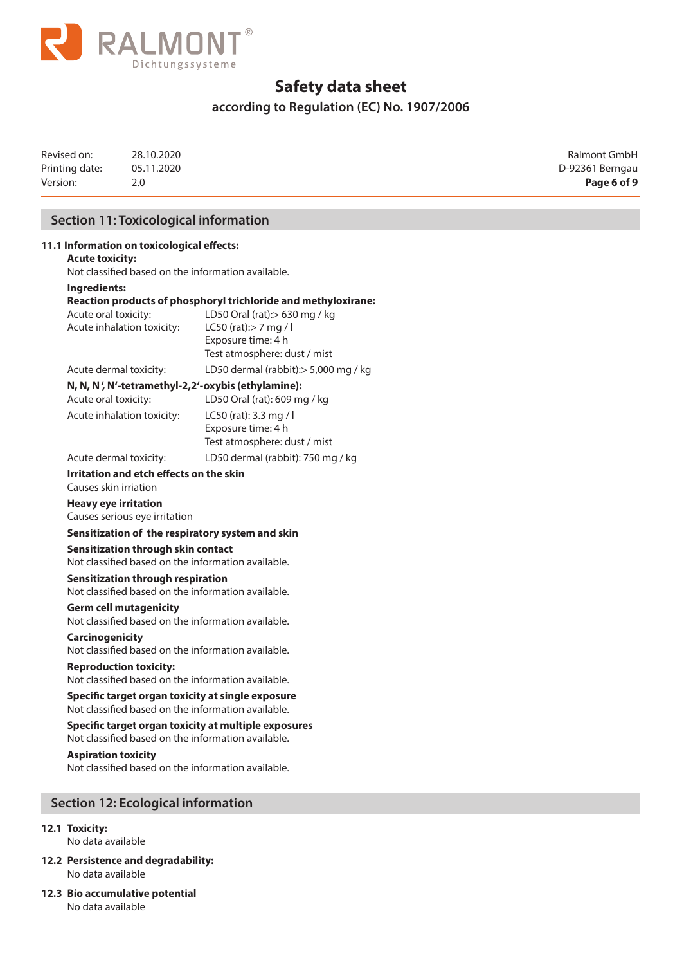

### **according to Regulation (EC) No. 1907/2006**

Revised on: 28.10.2020 Ralmont GmbH Printing date: 05.11.2020 05.11.2020 Version: 2.0 **Page 6 of 9**

### **Section 11: Toxicological information**

| 11.1 Information on toxicological effects:                                                                 |                                                                                                                                                                                |  |  |  |  |
|------------------------------------------------------------------------------------------------------------|--------------------------------------------------------------------------------------------------------------------------------------------------------------------------------|--|--|--|--|
| <b>Acute toxicity:</b><br>Not classified based on the information available.                               |                                                                                                                                                                                |  |  |  |  |
| Ingredients:                                                                                               |                                                                                                                                                                                |  |  |  |  |
| Acute oral toxicity:<br>Acute inhalation toxicity:                                                         | Reaction products of phosphoryl trichloride and methyloxirane:<br>LD50 Oral (rat):> 630 mg / kg<br>LC50 (rat):> 7 mg / l<br>Exposure time: 4 h<br>Test atmosphere: dust / mist |  |  |  |  |
| Acute dermal toxicity:                                                                                     | LD50 dermal (rabbit): > 5,000 mg / kg                                                                                                                                          |  |  |  |  |
| N, N, N', N'-tetramethyl-2,2'-oxybis (ethylamine):<br>Acute oral toxicity:<br>Acute inhalation toxicity:   | LD50 Oral (rat): 609 mg / kg<br>LC50 (rat): 3.3 mg / l<br>Exposure time: 4 h                                                                                                   |  |  |  |  |
|                                                                                                            | Test atmosphere: dust / mist                                                                                                                                                   |  |  |  |  |
| Acute dermal toxicity:                                                                                     | LD50 dermal (rabbit): 750 mg / kg                                                                                                                                              |  |  |  |  |
| Irritation and etch effects on the skin<br>Causes skin irriation                                           |                                                                                                                                                                                |  |  |  |  |
| <b>Heavy eye irritation</b><br>Causes serious eye irritation                                               |                                                                                                                                                                                |  |  |  |  |
| Sensitization of the respiratory system and skin                                                           |                                                                                                                                                                                |  |  |  |  |
| Sensitization through skin contact<br>Not classified based on the information available.                   |                                                                                                                                                                                |  |  |  |  |
|                                                                                                            | <b>Sensitization through respiration</b><br>Not classified based on the information available.                                                                                 |  |  |  |  |
| <b>Germ cell mutagenicity</b><br>Not classified based on the information available.                        |                                                                                                                                                                                |  |  |  |  |
|                                                                                                            | <b>Carcinogenicity</b><br>Not classified based on the information available.                                                                                                   |  |  |  |  |
| <b>Reproduction toxicity:</b>                                                                              | Not classified based on the information available.                                                                                                                             |  |  |  |  |
|                                                                                                            | Specific target organ toxicity at single exposure<br>Not classified based on the information available.                                                                        |  |  |  |  |
| Specific target organ toxicity at multiple exposures<br>Not classified based on the information available. |                                                                                                                                                                                |  |  |  |  |
| <b>Aspiration toxicity</b><br>Not classified based on the information available.                           |                                                                                                                                                                                |  |  |  |  |
| <b>Section 12: Ecological information</b>                                                                  |                                                                                                                                                                                |  |  |  |  |

### **12.1 Toxicity:**

No data available

- **12.2 Persistence and degradability:**  No data available
- **12.3 Bio accumulative potential** No data available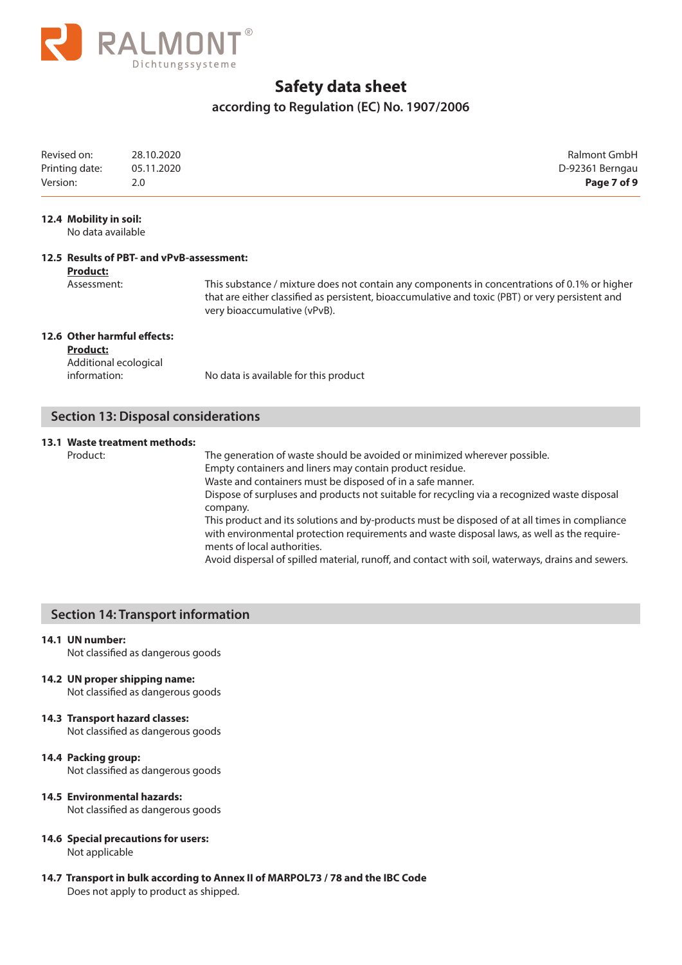

### **according to Regulation (EC) No. 1907/2006**

| Revised on:    | 28.10.2020 | Ralmont GmbH    |
|----------------|------------|-----------------|
| Printing date: | 05.11.2020 | D-92361 Berngau |
| Version:       | 2.0        | Page 7 of 9     |

#### **12.4 Mobility in soil:**

No data available

### **12.5 Results of PBT- and vPvB-assessment:**

**Product:**

Assessment: This substance / mixture does not contain any components in concentrations of 0.1% or higher that are either classified as persistent, bioaccumulative and toxic (PBT) or very persistent and very bioaccumulative (vPvB).

#### **12.6 Other harmful effects:**

**Product:** Additional ecological

information: No data is available for this product

### **Section 13: Disposal considerations**

#### **13.1 Waste treatment methods:**

Product: The generation of waste should be avoided or minimized wherever possible. Empty containers and liners may contain product residue. Waste and containers must be disposed of in a safe manner. Dispose of surpluses and products not suitable for recycling via a recognized waste disposal company.

This product and its solutions and by-products must be disposed of at all times in compliance with environmental protection requirements and waste disposal laws, as well as the requirements of local authorities.

Avoid dispersal of spilled material, runoff, and contact with soil, waterways, drains and sewers.

### **Section 14: Transport information**

#### **14.1 UN number:**

Not classified as dangerous goods

**14.2 UN proper shipping name:**

Not classified as dangerous goods

### **14.3 Transport hazard classes:**

Not classified as dangerous goods

#### **14.4 Packing group:**

Not classified as dangerous goods

### **14.5 Environmental hazards:**

Not classified as dangerous goods

#### **14.6 Special precautions for users:** Not applicable

**14.7 Transport in bulk according to Annex II of MARPOL73 / 78 and the IBC Code** Does not apply to product as shipped.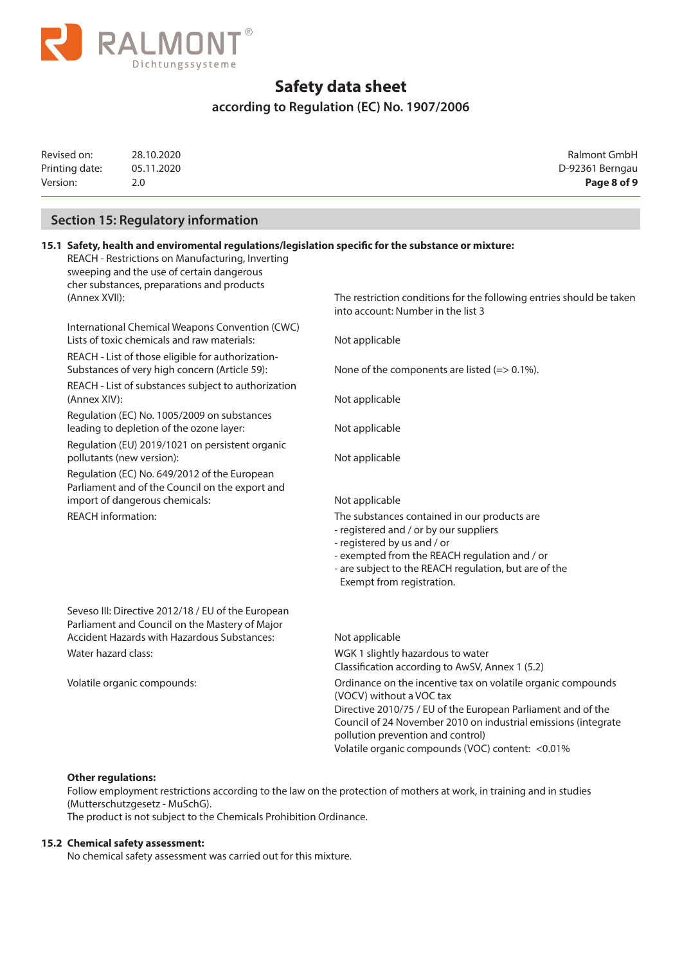

### **according to Regulation (EC) No. 1907/2006**

| Revised on:    | 28.10.2020 | Ralmont GmbH    |
|----------------|------------|-----------------|
| Printing date: | 05.11.2020 | D-92361 Berngau |
| Version:       |            | Page 8 of 9     |

D-92361 Berngau

### **Section 15: Regulatory information**

### **15.1 Safety, health and enviromental regulations/legislation specific for the substance or mixture:**

REACH - Restrictions on Manufacturing, Inverting sweeping and the use of certain dangerous cher substances, preparations and products

International Chemical Weapons Convention (CWC) Lists of toxic chemicals and raw materials: Not applicable

REACH - List of those eligible for authorization-Substances of very high concern (Article 59): None of the components are listed (=> 0.1%).

REACH - List of substances subject to authorization (Annex XIV): Not applicable

Regulation (EC) No. 1005/2009 on substances leading to depletion of the ozone layer: Not applicable

Regulation (EU) 2019/1021 on persistent organic pollutants (new version): Not applicable

Regulation (EC) No. 649/2012 of the European Parliament and of the Council on the export and import of dangerous chemicals: Not applicable

 Seveso III: Directive 2012/18 / EU of the European Parliament and Council on the Mastery of Major Accident Hazards with Hazardous Substances: Not applicable

(Annex XVII): The restriction conditions for the following entries should be taken into account: Number in the list 3

REACH information: The substances contained in our products are

- registered and / or by our suppliers
- registered by us and / or
- exempted from the REACH regulation and / or
- are subject to the REACH regulation, but are of the
- Exempt from registration.

Water hazard class: WGK 1 slightly hazardous to water Classification according to AwSV, Annex 1 (5.2) Volatile organic compounds: Ordinance on the incentive tax on volatile organic compounds (VOCV) without a VOC tax Directive 2010/75 / EU of the European Parliament and of the Council of 24 November 2010 on industrial emissions (integrate pollution prevention and control) Volatile organic compounds (VOC) content: <0.01%

### **Other regulations:**

Follow employment restrictions according to the law on the protection of mothers at work, in training and in studies (Mutterschutzgesetz - MuSchG).

The product is not subject to the Chemicals Prohibition Ordinance.

#### **15.2 Chemical safety assessment:**

No chemical safety assessment was carried out for this mixture.